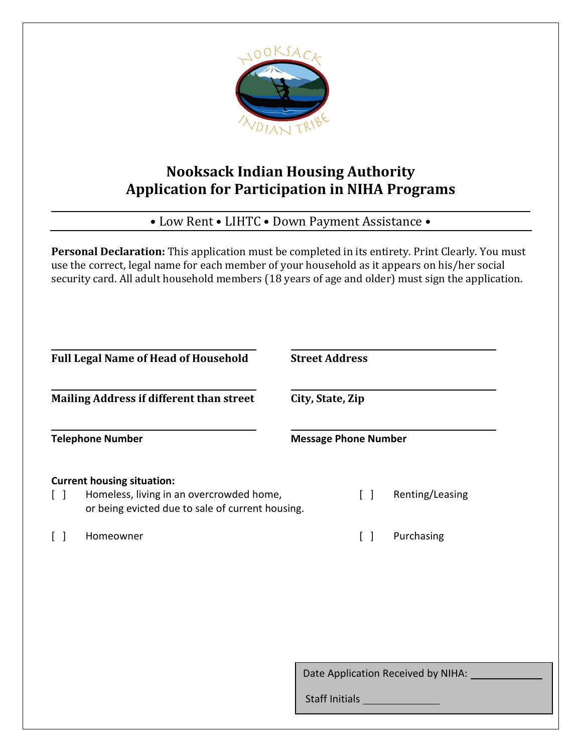

## **Nooksack Indian Housing Authority Application for Participation in NIHA Programs**

• Low Rent • LIHTC • Down Payment Assistance •

**Personal Declaration:** This application must be completed in its entirety. Print Clearly. You must use the correct, legal name for each member of your household as it appears on his/her social security card. All adult household members (18 years of age and older) must sign the application.

| <b>Full Legal Name of Head of Household</b>                                                                                       |                         | <b>Street Address</b> |                             |                 |
|-----------------------------------------------------------------------------------------------------------------------------------|-------------------------|-----------------------|-----------------------------|-----------------|
| Mailing Address if different than street                                                                                          |                         | City, State, Zip      |                             |                 |
|                                                                                                                                   | <b>Telephone Number</b> |                       | <b>Message Phone Number</b> |                 |
| <b>Current housing situation:</b><br>Homeless, living in an overcrowded home,<br>or being evicted due to sale of current housing. |                         |                       |                             | Renting/Leasing |
|                                                                                                                                   | Homeowner               |                       |                             | Purchasing      |

Date Application Received by NIHA:

Staff Initials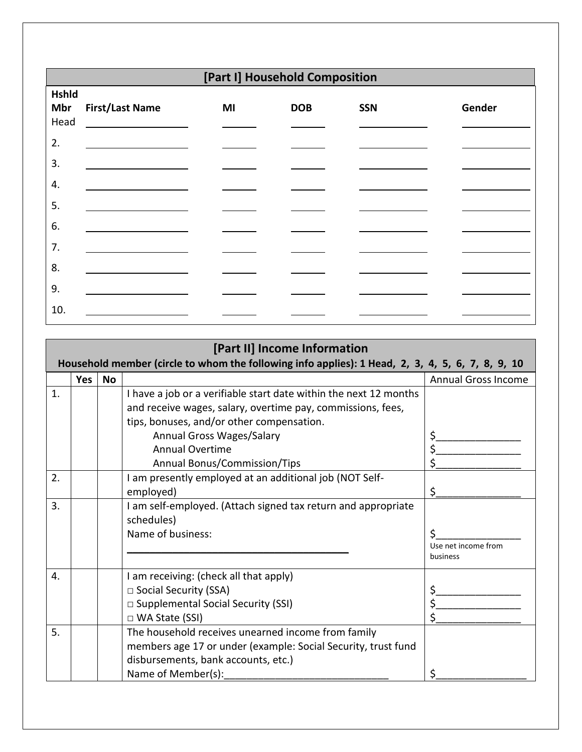|                             | [Part I] Household Composition                                                            |    |            |            |        |
|-----------------------------|-------------------------------------------------------------------------------------------|----|------------|------------|--------|
| <b>Hshld</b><br>Mbr<br>Head | <b>First/Last Name</b><br><u> 1980 - Johann Barn, mars an t-Amerikaansk kommunister (</u> | MI | <b>DOB</b> | <b>SSN</b> | Gender |
| 2.                          |                                                                                           |    |            |            |        |
| 3.                          |                                                                                           |    |            |            |        |
| 4.                          |                                                                                           |    |            |            |        |
| 5.                          |                                                                                           |    |            |            |        |
| 6.                          |                                                                                           |    |            |            |        |
| 7.                          |                                                                                           |    |            |            |        |
| 8.                          |                                                                                           |    |            |            |        |
| 9.                          |                                                                                           |    |            |            |        |
| 10.                         |                                                                                           |    |            |            |        |

|                  | [Part II] Income Information                                                                     |           |                                                                   |                            |  |
|------------------|--------------------------------------------------------------------------------------------------|-----------|-------------------------------------------------------------------|----------------------------|--|
|                  | Household member (circle to whom the following info applies): 1 Head, 2, 3, 4, 5, 6, 7, 8, 9, 10 |           |                                                                   |                            |  |
|                  | Yes                                                                                              | <b>No</b> |                                                                   | <b>Annual Gross Income</b> |  |
| $\mathbf{1}$ .   |                                                                                                  |           | I have a job or a verifiable start date within the next 12 months |                            |  |
|                  |                                                                                                  |           | and receive wages, salary, overtime pay, commissions, fees,       |                            |  |
|                  |                                                                                                  |           | tips, bonuses, and/or other compensation.                         |                            |  |
|                  |                                                                                                  |           | Annual Gross Wages/Salary                                         |                            |  |
|                  |                                                                                                  |           | <b>Annual Overtime</b>                                            |                            |  |
|                  |                                                                                                  |           | <b>Annual Bonus/Commission/Tips</b>                               |                            |  |
| 2.               |                                                                                                  |           | I am presently employed at an additional job (NOT Self-           |                            |  |
|                  |                                                                                                  |           | employed)                                                         | \$                         |  |
| $\overline{3}$ . |                                                                                                  |           | I am self-employed. (Attach signed tax return and appropriate     |                            |  |
|                  |                                                                                                  |           | schedules)                                                        |                            |  |
|                  |                                                                                                  |           | Name of business:                                                 |                            |  |
|                  |                                                                                                  |           | Use net income from                                               |                            |  |
|                  |                                                                                                  |           |                                                                   | business                   |  |
| $\mathbf{4}$ .   |                                                                                                  |           | I am receiving: (check all that apply)                            |                            |  |
|                  |                                                                                                  |           | □ Social Security (SSA)                                           |                            |  |
|                  |                                                                                                  |           | □ Supplemental Social Security (SSI)                              |                            |  |
|                  |                                                                                                  |           | $\Box$ WA State (SSI)                                             |                            |  |
| 5.               |                                                                                                  |           | The household receives unearned income from family                |                            |  |
|                  |                                                                                                  |           | members age 17 or under (example: Social Security, trust fund     |                            |  |
|                  |                                                                                                  |           | disbursements, bank accounts, etc.)                               |                            |  |
|                  |                                                                                                  |           | Name of Member(s):                                                |                            |  |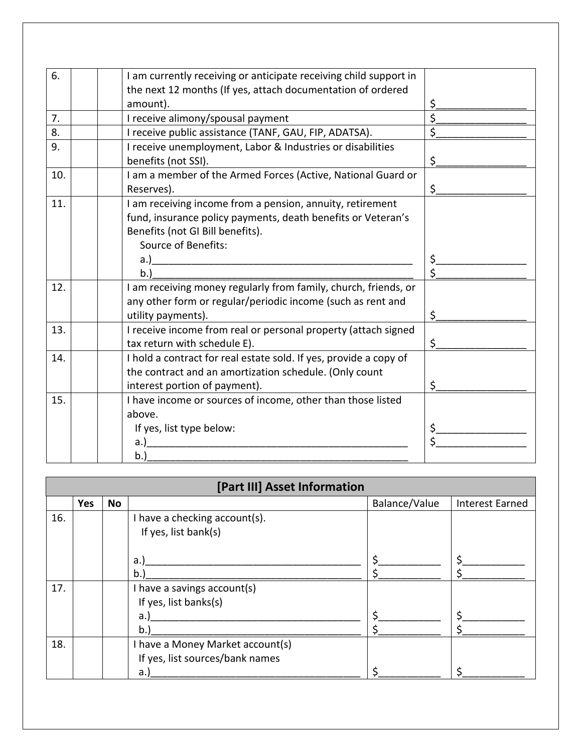| 6.  | I am currently receiving or anticipate receiving child support in |    |
|-----|-------------------------------------------------------------------|----|
|     | the next 12 months (If yes, attach documentation of ordered       |    |
|     | amount).                                                          | \$ |
| 7.  |                                                                   |    |
|     | I receive alimony/spousal payment                                 |    |
| 8.  | I receive public assistance (TANF, GAU, FIP, ADATSA).             | \$ |
| 9.  | I receive unemployment, Labor & Industries or disabilities        |    |
|     | benefits (not SSI).                                               | \$ |
| 10. | I am a member of the Armed Forces (Active, National Guard or      |    |
|     | Reserves).                                                        | \$ |
| 11. | I am receiving income from a pension, annuity, retirement         |    |
|     | fund, insurance policy payments, death benefits or Veteran's      |    |
|     | Benefits (not GI Bill benefits).                                  |    |
|     | Source of Benefits:                                               |    |
|     | a.                                                                |    |
|     | b.                                                                |    |
| 12. | I am receiving money regularly from family, church, friends, or   |    |
|     | any other form or regular/periodic income (such as rent and       |    |
|     | utility payments).                                                | \$ |
| 13. | I receive income from real or personal property (attach signed    |    |
|     | tax return with schedule E).                                      | \$ |
| 14. | I hold a contract for real estate sold. If yes, provide a copy of |    |
|     | the contract and an amortization schedule. (Only count            |    |
|     | interest portion of payment).                                     | \$ |
| 15. | I have income or sources of income, other than those listed       |    |
|     | above.                                                            |    |
|     | If yes, list type below:                                          |    |
|     | a.)                                                               |    |
|     | b.)                                                               |    |
|     |                                                                   |    |

|     | [Part III] Asset Information |    |                                                                           |               |                        |
|-----|------------------------------|----|---------------------------------------------------------------------------|---------------|------------------------|
|     | Yes                          | No |                                                                           | Balance/Value | <b>Interest Earned</b> |
| 16. |                              |    | I have a checking account(s).<br>If yes, list bank(s)                     |               |                        |
|     |                              |    | a.)<br>b.                                                                 |               |                        |
| 17. |                              |    | I have a savings account(s)<br>If yes, list banks(s)<br>a.)<br>b.         |               |                        |
| 18. |                              |    | I have a Money Market account(s)<br>If yes, list sources/bank names<br>a. |               |                        |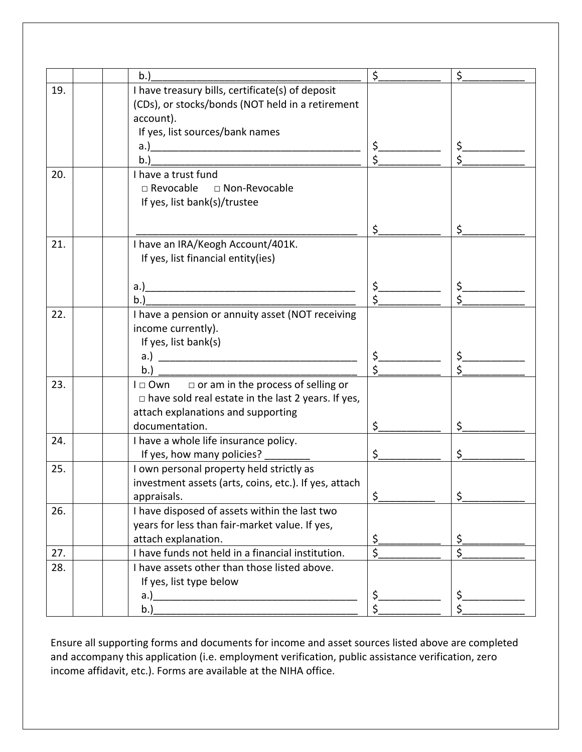|     | b.)                                                       | $\mathsf{S}_-$    | \$ |
|-----|-----------------------------------------------------------|-------------------|----|
| 19. | I have treasury bills, certificate(s) of deposit          |                   |    |
|     | (CDs), or stocks/bonds (NOT held in a retirement          |                   |    |
|     | account).                                                 |                   |    |
|     | If yes, list sources/bank names                           |                   |    |
|     |                                                           | $\frac{\xi}{\xi}$ |    |
|     | b.                                                        |                   |    |
| 20. | I have a trust fund                                       |                   |    |
|     | □ Revocable □ Non-Revocable                               |                   |    |
|     | If yes, list bank(s)/trustee                              |                   |    |
|     |                                                           |                   |    |
|     |                                                           | \$                |    |
| 21. | I have an IRA/Keogh Account/401K.                         |                   |    |
|     | If yes, list financial entity(ies)                        |                   |    |
|     |                                                           |                   |    |
|     |                                                           |                   |    |
| 22. | I have a pension or annuity asset (NOT receiving          |                   |    |
|     | income currently).                                        |                   |    |
|     | If yes, list bank(s)                                      |                   |    |
|     |                                                           |                   |    |
|     |                                                           | $\mathsf{s}_-$    |    |
| 23. | I  □ Own  □ or am in the process of selling or            |                   |    |
|     | $\Box$ have sold real estate in the last 2 years. If yes, |                   |    |
|     | attach explanations and supporting                        |                   |    |
|     | documentation.                                            | \$                |    |
| 24. | I have a whole life insurance policy.                     |                   |    |
|     | If yes, how many policies? ______                         | \$                | \$ |
| 25. | I own personal property held strictly as                  |                   |    |
|     | investment assets (arts, coins, etc.). If yes, attach     |                   |    |
|     | appraisals.                                               | \$                | \$ |
| 26. | I have disposed of assets within the last two             |                   |    |
|     | years for less than fair-market value. If yes,            |                   |    |
|     | attach explanation.                                       | \$.               |    |
| 27. | I have funds not held in a financial institution.         |                   | Ś  |
| 28. | I have assets other than those listed above.              |                   |    |
|     | If yes, list type below                                   |                   |    |
|     | a.)                                                       | \$_               |    |
|     | b.                                                        |                   |    |

and accompany this application (i.e. employment verification, public assistance verification, zero income affidavit, etc.). Forms are available at the NIHA office. Ensure all supporting forms and documents for income and asset sources listed above are completed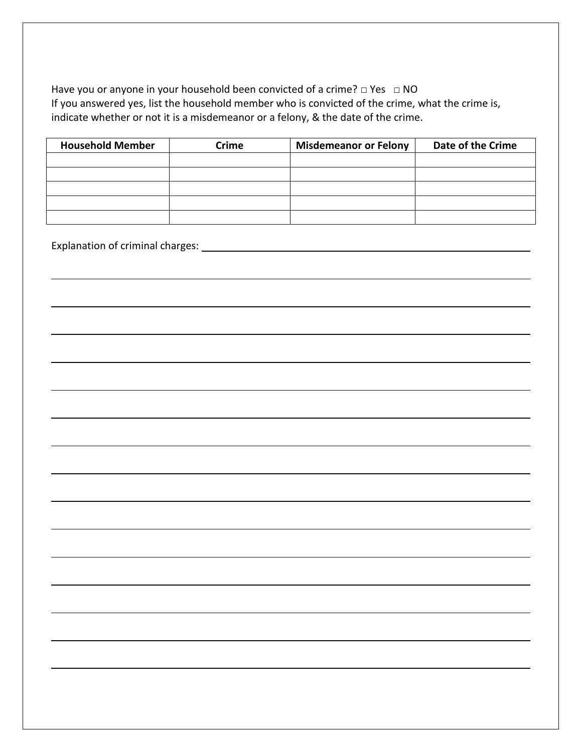Have you or anyone in your household been convicted of a crime?  $□$  Yes  $□$  NO If you answered yes, list the household member who is convicted of the crime, what the crime is, indicate whether or not it is a misdemeanor or a felony, & the date of the crime.

| <b>Household Member</b> | <b>Crime</b> | <b>Misdemeanor or Felony</b> | Date of the Crime |
|-------------------------|--------------|------------------------------|-------------------|
|                         |              |                              |                   |
|                         |              |                              |                   |
|                         |              |                              |                   |
|                         |              |                              |                   |
|                         |              |                              |                   |

Explanation of criminal charges: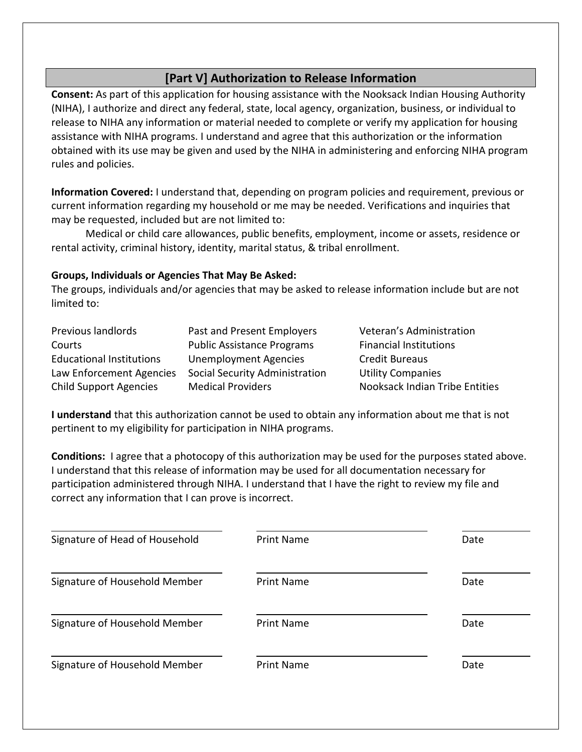## **[Part V] Authorization to Release Information**

**Consent:** As part of this application for housing assistance with the Nooksack Indian Housing Authority (NIHA), I authorize and direct any federal, state, local agency, organization, business, or individual to release to NIHA any information or material needed to complete or verify my application for housing assistance with NIHA programs. I understand and agree that this authorization or the information obtained with its use may be given and used by the NIHA in administering and enforcing NIHA program rules and policies.

**Information Covered:** I understand that, depending on program policies and requirement, previous or current information regarding my household or me may be needed. Verifications and inquiries that may be requested, included but are not limited to:

Medical or child care allowances, public benefits, employment, income or assets, residence or rental activity, criminal history, identity, marital status, & tribal enrollment.

## **Groups, Individuals or Agencies That May Be Asked:**

The groups, individuals and/or agencies that may be asked to release information include but are not limited to:

| Previous landlords              | Past and Present Employers        | Veteran's Administration       |
|---------------------------------|-----------------------------------|--------------------------------|
| Courts                          | <b>Public Assistance Programs</b> | <b>Financial Institutions</b>  |
| <b>Educational Institutions</b> | Unemployment Agencies             | Credit Bureaus                 |
| Law Enforcement Agencies        | Social Security Administration    | <b>Utility Companies</b>       |
| <b>Child Support Agencies</b>   | <b>Medical Providers</b>          | Nooksack Indian Tribe Entities |

**I understand** that this authorization cannot be used to obtain any information about me that is not pertinent to my eligibility for participation in NIHA programs.

**Conditions:** I agree that a photocopy of this authorization may be used for the purposes stated above. I understand that this release of information may be used for all documentation necessary for participation administered through NIHA. I understand that I have the right to review my file and correct any information that I can prove is incorrect.

| Signature of Head of Household | <b>Print Name</b> | Date |
|--------------------------------|-------------------|------|
| Signature of Household Member  | <b>Print Name</b> | Date |
| Signature of Household Member  | <b>Print Name</b> | Date |
| Signature of Household Member  | <b>Print Name</b> | Date |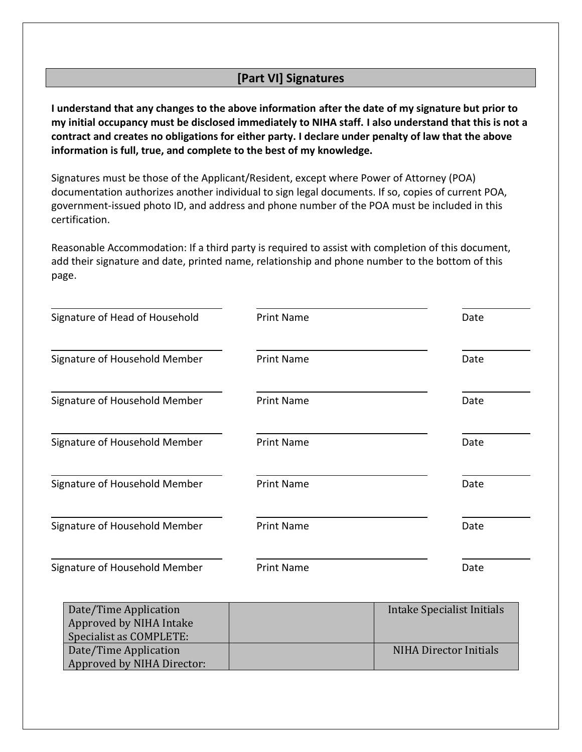## **[Part VI] Signatures**

**I understand that any changes to the above information after the date of my signature but prior to my initial occupancy must be disclosed immediately to NIHA staff. I also understand that this is not a contract and creates no obligations for either party. I declare under penalty of law that the above information is full, true, and complete to the best of my knowledge.** 

Signatures must be those of the Applicant/Resident, except where Power of Attorney (POA) documentation authorizes another individual to sign legal documents. If so, copies of current POA, government-issued photo ID, and address and phone number of the POA must be included in this certification.

Reasonable Accommodation: If a third party is required to assist with completion of this document, add their signature and date, printed name, relationship and phone number to the bottom of this page.

| Signature of Head of Household                                                                       | <b>Print Name</b> | Date                                                        |
|------------------------------------------------------------------------------------------------------|-------------------|-------------------------------------------------------------|
| Signature of Household Member                                                                        | <b>Print Name</b> | Date                                                        |
| Signature of Household Member                                                                        | <b>Print Name</b> | Date                                                        |
| Signature of Household Member                                                                        | <b>Print Name</b> | Date                                                        |
| Signature of Household Member                                                                        | <b>Print Name</b> | Date                                                        |
| Signature of Household Member                                                                        | <b>Print Name</b> | Date                                                        |
| Signature of Household Member                                                                        | <b>Print Name</b> | Date                                                        |
| Date/Time Application<br>Approved by NIHA Intake<br>Specialist as COMPLETE:<br>Date/Time Application |                   | Intake Specialist Initials<br><b>NIHA Director Initials</b> |
| Approved by NIHA Director:                                                                           |                   |                                                             |